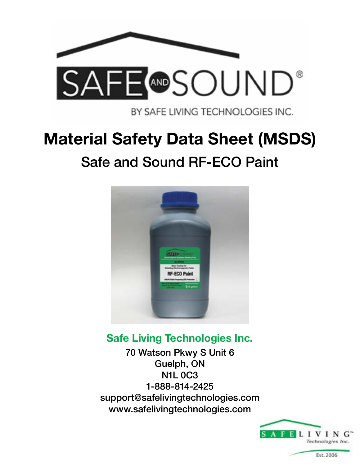

BY SAFE LIVING TECHNOLOGIES INC.

# **Material Safety Data Sheet (MSDS)** Safe and Sound RF-ECO Paint



# **Safe Living Technologies Inc.**

70 Watson Pkwy S Unit 6 Guelph, ON N1L 0C3 1-888-814-2425 support@safelivingtechnologies.com www.safelivingtechnologies.com

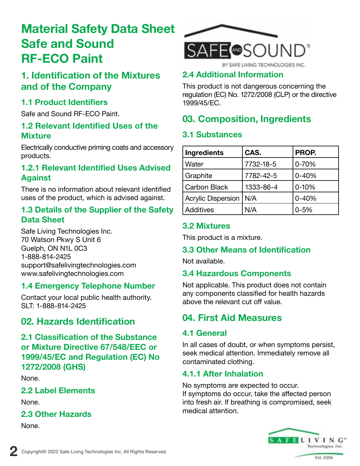## **1. Identification of the Mixtures and of the Company**

### **1.1 Product Identifiers**

Safe and Sound RF-ECO Paint.

### **1.2 Relevant Identified Uses of the Mixture**

Electrically conductive priming coats and accessory products.

### **1.2.1 Relevant Identified Uses Advised Against**

There is no information about relevant identified uses of the product, which is advised against.

#### **1.3 Details of the Supplier of the Safety Data Sheet**

Safe Living Technologies Inc. 70 Watson Pkwy S Unit 6 Guelph, ON N1L 0C3 1-888-814-2425 support@safelivingtechnologies.com www.safelivingtechnologies.com

### **1.4 Emergency Telephone Number**

Contact your local public health authority. SLT: 1-888-814-2425

### **02. Hazards Identification**

**2.1 Classification of the Substance or Mixture Directive 67/548/EEC or 1999/45/EC and Regulation (EC) No 1272/2008 (GHS)**

None.

### **2.2 Label Elements**

None.

### **2.3 Other Hazards**

None.



### **2.4 Additional Information**

This product is not dangerous concerning the regulation (EC) No. 1272/2008 (CLP) or the directive 1999/45/EC.

# **03. Composition, Ingredients**

### **3.1 Substances**

| Ingredients         | CAS.      | PROP.     |
|---------------------|-----------|-----------|
| Water               | 7732-18-5 | 0-70%     |
| Graphite            | 7782-42-5 | $0 - 40%$ |
| <b>Carbon Black</b> | 1333-86-4 | $0 - 10%$ |
| Acrylic Dispersion  | N/A       | $0 - 40%$ |
| Additives           | N/A       | $0 - 5%$  |

### **3.2 Mixtures**

This product is a mixture.

### **3.3 Other Means of Identification**

Not available.

### **3.4 Hazardous Components**

Not applicable. This product does not contain any components classified for health hazards above the relevant cut off value.

### **04. First Aid Measures**

### **4.1 General**

In all cases of doubt, or when symptoms persist, seek medical attention. Immediately remove all contaminated clothing.

### **4.1.1 After Inhalation**

No symptoms are expected to occur. If symptoms do occur, take the affected person into fresh air. If breathing is compromised, seek medical attention.

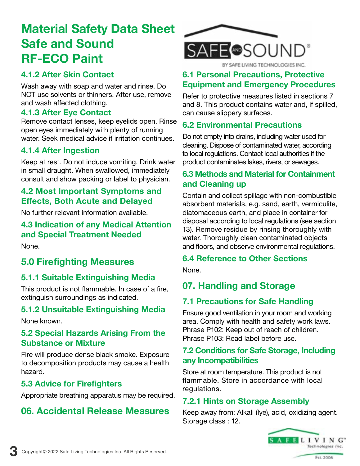### **4.1.2 After Skin Contact**

Wash away with soap and water and rinse. Do NOT use solvents or thinners. After use, remove and wash affected clothing.

#### **4.1.3 After Eye Contact**

Remove contact lenses, keep eyelids open. Rinse open eyes immediately with plenty of running water. Seek medical advice if irritation continues.

### **4.1.4 After Ingestion**

Keep at rest. Do not induce vomiting. Drink water in small draught. When swallowed, immediately consult and show packing or label to physician.

### **4.2 Most Important Symptoms and Effects, Both Acute and Delayed**

No further relevant information available.

**4.3 Indication of any Medical Attention and Special Treatment Needed** None.

### **5.0 Firefighting Measures 5.1.1 Suitable Extinguishing Media**

This product is not flammable. In case of a fire, extinguish surroundings as indicated.

### **5.1.2 Unsuitable Extinguishing Media**

None known.

### **5.2 Special Hazards Arising From the Substance or Mixture**

Fire will produce dense black smoke. Exposure to decomposition products may cause a health hazard.

### **5.3 Advice for Firefighters**

Appropriate breathing apparatus may be required.

# **06. Accidental Release Measures**



### **6.1 Personal Precautions, Protective Equipment and Emergency Procedures**

Refer to protective measures listed in sections 7 and 8. This product contains water and, if spilled, can cause slippery surfaces.

### **6.2 Environmental Precautions**

Do not empty into drains, including water used for cleaning. Dispose of contaminated water, according to local regulations. Contact local authorities if the product contaminates lakes, rivers, or sewages.

### **6.3 Methods and Material for Containment and Cleaning up**

Contain and collect spillage with non-combustible absorbent materials, e.g. sand, earth, vermiculite, diatomaceous earth, and place in container for disposal according to local regulations (see section 13). Remove residue by rinsing thoroughly with water. Thoroughly clean contaminated objects and floors, and observe environmental regulations.

### **6.4 Reference to Other Sections**

None.

# **07. Handling and Storage**

### **7.1 Precautions for Safe Handling**

Ensure good ventilation in your room and working area. Comply with health and safety work laws. Phrase P102: Keep out of reach of children. Phrase P103: Read label before use.

### **7.2 Conditions for Safe Storage, Including any Incompatibilities**

Store at room temperature. This product is not flammable. Store in accordance with local regulations.

### **7.2.1 Hints on Storage Assembly**

Keep away from: Alkali (lye), acid, oxidizing agent. Storage class : 12.

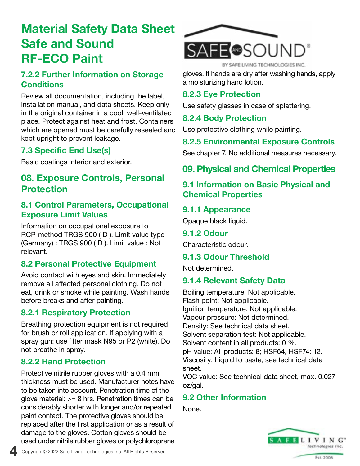### **7.2.2 Further Information on Storage Conditions**

Review all documentation, including the label, installation manual, and data sheets. Keep only in the original container in a cool, well-ventilated place. Protect against heat and frost. Containers which are opened must be carefully resealed and kept upright to prevent leakage.

### **7.3 Specific End Use(s)**

Basic coatings interior and exterior.

### **08. Exposure Controls, Personal Protection**

### **8.1 Control Parameters, Occupational Exposure Limit Values**

Information on occupational exposure to RCP-method TRGS 900 ( D ). Limit value type (Germany) : TRGS 900 ( D ). Limit value : Not relevant.

### **8.2 Personal Protective Equipment**

Avoid contact with eyes and skin. Immediately remove all affected personal clothing. Do not eat, drink or smoke while painting. Wash hands before breaks and after painting.

### **8.2.1 Respiratory Protection**

Breathing protection equipment is not required for brush or roll application. If applying with a spray gun: use filter mask N95 or P2 (white). Do not breathe in spray.

### **8.2.2 Hand Protection**

Protective nitrile rubber gloves with a 0.4 mm thickness must be used. Manufacturer notes have to be taken into account. Penetration time of the glove material:  $>= 8$  hrs. Penetration times can be considerably shorter with longer and/or repeated paint contact. The protective gloves should be replaced after the first application or as a result of damage to the gloves. Cotton gloves should be used under nitrile rubber gloves or polychloroprene



gloves. If hands are dry after washing hands, apply a moisturizing hand lotion.

### **8.2.3 Eye Protection**

Use safety glasses in case of splattering.

### **8.2.4 Body Protection**

Use protective clothing while painting.

### **8.2.5 Environmental Exposure Controls**

See chapter 7. No additional measures necessary.

**09. Physical and Chemical Properties**

### **9.1 Information on Basic Physical and Chemical Properties**

### **9.1.1 Appearance**

Opaque black liquid.

#### **9.1.2 Odour**

Characteristic odour.

### **9.1.3 Odour Threshold**

Not determined.

### **9.1.4 Relevant Safety Data**

Boiling temperature: Not applicable. Flash point: Not applicable. Ignition temperature: Not applicable. Vapour pressure: Not determined. Density: See technical data sheet. Solvent separation test: Not applicable. Solvent content in all products: 0 %. pH value: All products: 8; HSF64, HSF74: 12. Viscosity: Liquid to paste, see technical data sheet.

VOC value: See technical data sheet, max. 0.027 oz/gal.

### **9.2 Other Information**

None.



Est. 2006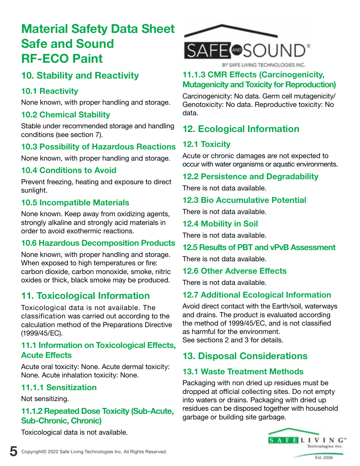# **10. Stability and Reactivity**

### **10.1 Reactivity**

None known, with proper handling and storage.

### **10.2 Chemical Stability**

Stable under recommended storage and handling conditions (see section 7).

### **10.3 Possibility of Hazardous Reactions**

None known, with proper handling and storage.

### **10.4 Conditions to Avoid**

Prevent freezing, heating and exposure to direct sunlight.

### **10.5 Incompatible Materials**

None known. Keep away from oxidizing agents, strongly alkaline and strongly acid materials in order to avoid exothermic reactions.

### **10.6 Hazardous Decomposition Products**

None known, with proper handling and storage. When exposed to high temperatures or fire: carbon dioxide, carbon monoxide, smoke, nitric oxides or thick, black smoke may be produced.

### **11. Toxicological Information**

Toxicological data is not available. The classification was carried out according to the calculation method of the Preparations Directive (1999/45/EC).

### **11.1 Information on Toxicological Effects, Acute Effects**

Acute oral toxicity: None. Acute dermal toxicity: None. Acute inhalation toxicity: None.

### **11.1.1 Sensitization**

Not sensitizing.

### **11.1.2 Repeated Dose Toxicity (Sub-Acute, Sub-Chronic, Chronic)**

Toxicological data is not available.



### **11.1.3 CMR Effects (Carcinogenicity, Mutagenicity and Toxicity for Reproduction)**

Carcinogenicity: No data. Germ cell mutagenicity/ Genotoxicity: No data. Reproductive toxicity: No data.

# **12. Ecological Information**

### **12.1 Toxicity**

Acute or chronic damages are not expected to occur with water organisms or aquatic environments.

#### **12.2 Persistence and Degradability**

There is not data available.

### **12.3 Bio Accumulative Potential**

There is not data available.

### **12.4 Mobility in Soil**

There is not data available.

### **12.5 Results of PBT and vPvB Assessment**

There is not data available.

#### **12.6 Other Adverse Effects**

There is not data available.

### **12.7 Additional Ecological Information**

Avoid direct contact with the Earth/soil, waterways and drains. The product is evaluated according the method of 1999/45/EC, and is not classified as harmful for the environment. See sections 2 and 3 for details.

### **13. Disposal Considerations**

### **13.1 Waste Treatment Methods**

Packaging with non dried up residues must be dropped at official collecting sites. Do not empty into waters or drains. Packaging with dried up residues can be disposed together with household garbage or building site garbage.

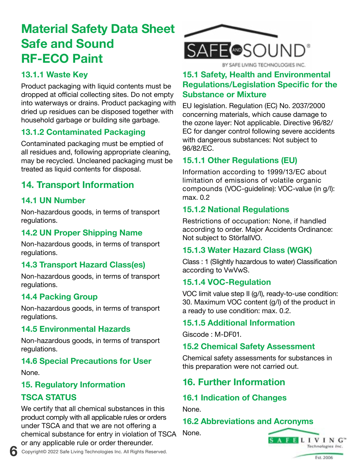### **13.1.1 Waste Key**

Product packaging with liquid contents must be dropped at official collecting sites. Do not empty into waterways or drains. Product packaging with dried up residues can be disposed together with household garbage or building site garbage.

### **13.1.2 Contaminated Packaging**

Contaminated packaging must be emptied of all residues and, following appropriate cleaning, may be recycled. Uncleaned packaging must be treated as liquid contents for disposal.

## **14. Transport Information**

### **14.1 UN Number**

Non-hazardous goods, in terms of transport regulations.

### **14.2 UN Proper Shipping Name**

Non-hazardous goods, in terms of transport regulations.

### **14.3 Transport Hazard Class(es)**

Non-hazardous goods, in terms of transport regulations.

### **14.4 Packing Group**

Non-hazardous goods, in terms of transport regulations.

### **14.5 Environmental Hazards**

Non-hazardous goods, in terms of transport regulations.

### **14.6 Special Precautions for User**

None.

### **15. Regulatory Information**

### **TSCA STATUS**

We certify that all chemical substances in this product comply with all applicable rules or orders under TSCA and that we are not offering a chemical substance for entry in violation of TSCA or any applicable rule or order thereunder.



### **15.1 Safety, Health and Environmental Regulations/Legislation Specific for the Substance or Mixture**

EU legislation. Regulation (EC) No. 2037/2000 concerning materials, which cause damage to the ozone layer: Not applicable. Directive 96/82/ EC for danger control following severe accidents with dangerous substances: Not subject to 96/82/EC.

### **15.1.1 Other Regulations (EU)**

Information according to 1999/13/EC about limitation of emissions of volatile organic compounds (VOC-guideline): VOC-value (in g/l): max. 0.2

### **15.1.2 National Regulations**

Restrictions of occupation: None, if handled according to order. Major Accidents Ordinance: Not subject to StörfallVO.

### **15.1.3 Water Hazard Class (WGK)**

Class : 1 (Slightly hazardous to water) Classification according to VwVwS.

### **15.1.4 VOC-Regulation**

VOC limit value step II (g/l), ready-to-use condition: 30. Maximum VOC content (g/l) of the product in a ready to use condition: max. 0.2.

### **15.1.5 Additional Information**

Giscode : M-DF01.

### **15.2 Chemical Safety Assessment**

Chemical safety assessments for substances in this preparation were not carried out.

# **16. Further Information**

### **16.1 Indication of Changes**

None.

### **16.2 Abbreviations and Acronyms**